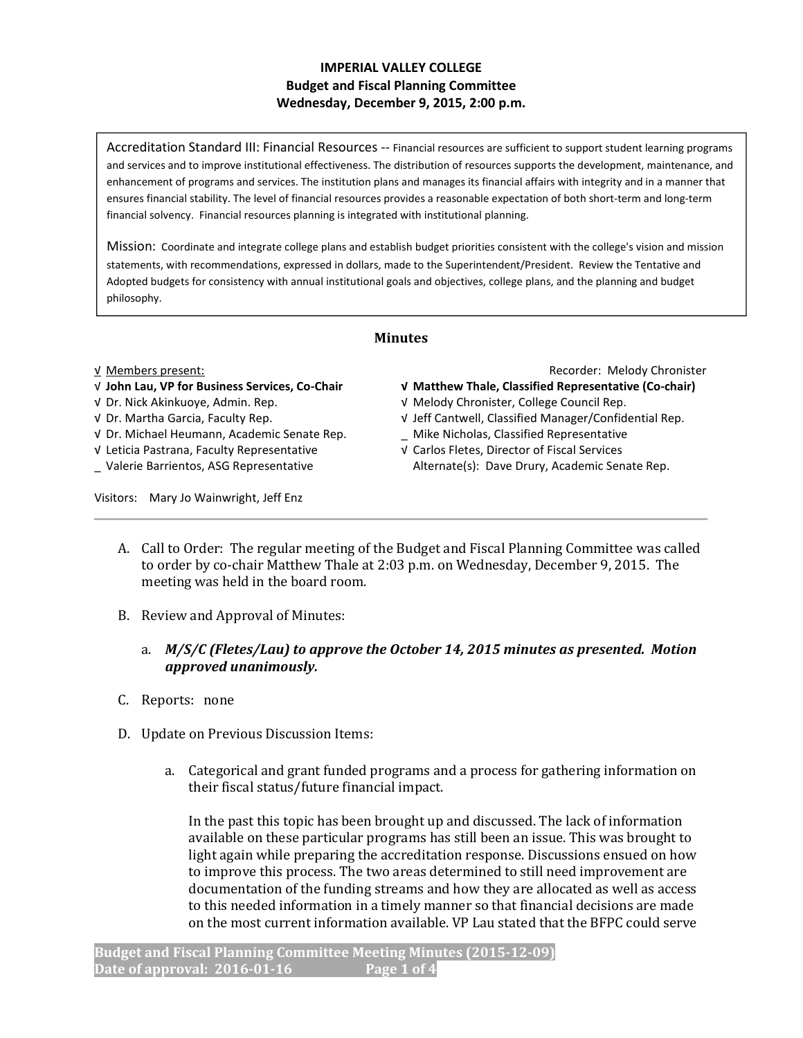# IMPERIAL VALLEY COLLEGE Budget and Fiscal Planning Committee Wednesday, December 9, 2015, 2:00 p.m.

Accreditation Standard III: Financial Resources -- Financial resources are sufficient to support student learning programs and services and to improve institutional effectiveness. The distribution of resources supports the development, maintenance, and enhancement of programs and services. The institution plans and manages its financial affairs with integrity and in a manner that ensures financial stability. The level of financial resources provides a reasonable expectation of both short-term and long-term financial solvency. Financial resources planning is integrated with institutional planning.

Mission: Coordinate and integrate college plans and establish budget priorities consistent with the college's vision and mission statements, with recommendations, expressed in dollars, made to the Superintendent/President. Review the Tentative and Adopted budgets for consistency with annual institutional goals and objectives, college plans, and the planning and budget philosophy.

# Minutes

## √ John Lau, VP for Business Services, Co-Chair √ Matthew Thale, Classified Representative (Co-chair)

- 
- 

√ Dr. Michael Heumann, Academic Senate Rep. \_ Mike Nicholas, Classified Representative

- 
- 

√ Members present: Recorder: Melody Chronister

- 
- √ Dr. Nick Akinkuoye, Admin. Rep. √ Melody Chronister, College Council Rep.
- √ Dr. Martha Garcia, Faculty Rep. √ Jeff Cantwell, Classified Manager/Confidential Rep.
- √ Leticia Pastrana, Faculty Representative √ Carlos Fletes, Director of Fiscal Services
- \_ Valerie Barrientos, ASG Representative Alternate(s): Dave Drury, Academic Senate Rep.

Visitors: Mary Jo Wainwright, Jeff Enz

- A. Call to Order: The regular meeting of the Budget and Fiscal Planning Committee was called to order by co-chair Matthew Thale at 2:03 p.m. on Wednesday, December 9, 2015. The meeting was held in the board room.
- B. Review and Approval of Minutes:
	- a. M/S/C (Fletes/Lau) to approve the October 14, 2015 minutes as presented. Motion approved unanimously.
- C. Reports: none
- D. Update on Previous Discussion Items:
	- a. Categorical and grant funded programs and a process for gathering information on their fiscal status/future financial impact.

In the past this topic has been brought up and discussed. The lack of information available on these particular programs has still been an issue. This was brought to light again while preparing the accreditation response. Discussions ensued on how to improve this process. The two areas determined to still need improvement are documentation of the funding streams and how they are allocated as well as access to this needed information in a timely manner so that financial decisions are made on the most current information available. VP Lau stated that the BFPC could serve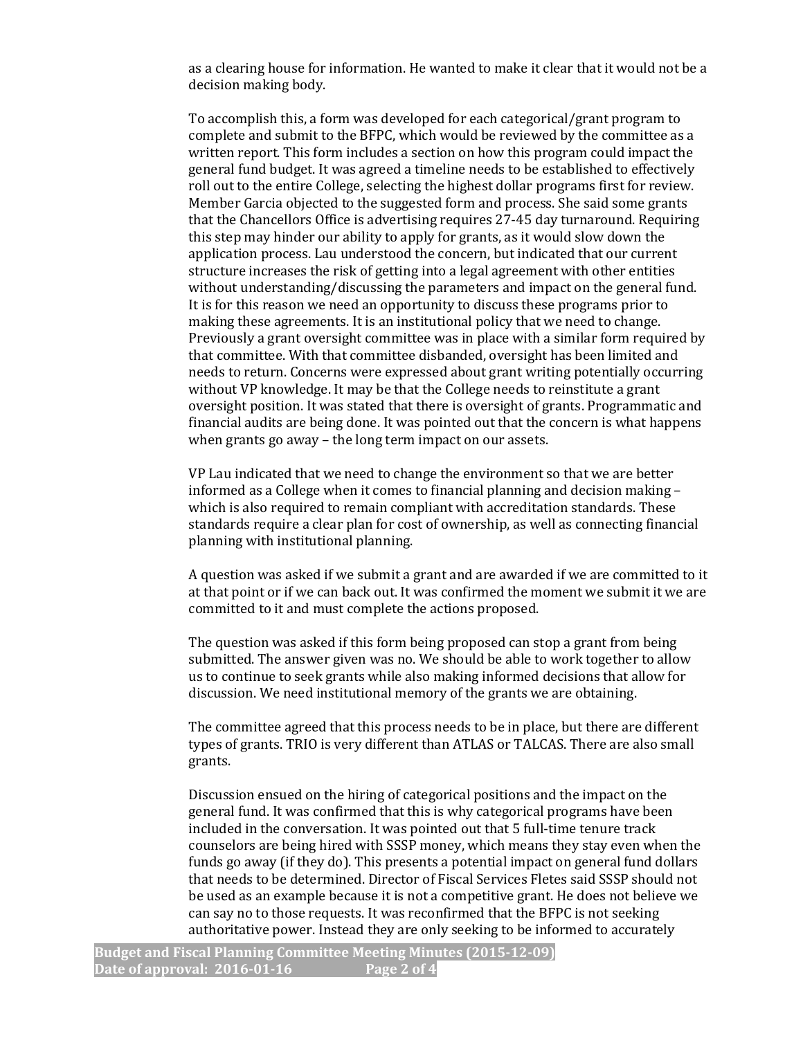as a clearing house for information. He wanted to make it clear that it would not be a decision making body.

To accomplish this, a form was developed for each categorical/grant program to complete and submit to the BFPC, which would be reviewed by the committee as a written report. This form includes a section on how this program could impact the general fund budget. It was agreed a timeline needs to be established to effectively roll out to the entire College, selecting the highest dollar programs first for review. Member Garcia objected to the suggested form and process. She said some grants that the Chancellors Office is advertising requires 27-45 day turnaround. Requiring this step may hinder our ability to apply for grants, as it would slow down the application process. Lau understood the concern, but indicated that our current structure increases the risk of getting into a legal agreement with other entities without understanding/discussing the parameters and impact on the general fund. It is for this reason we need an opportunity to discuss these programs prior to making these agreements. It is an institutional policy that we need to change. Previously a grant oversight committee was in place with a similar form required by that committee. With that committee disbanded, oversight has been limited and needs to return. Concerns were expressed about grant writing potentially occurring without VP knowledge. It may be that the College needs to reinstitute a grant oversight position. It was stated that there is oversight of grants. Programmatic and financial audits are being done. It was pointed out that the concern is what happens when grants go away – the long term impact on our assets.

VP Lau indicated that we need to change the environment so that we are better informed as a College when it comes to financial planning and decision making – which is also required to remain compliant with accreditation standards. These standards require a clear plan for cost of ownership, as well as connecting financial planning with institutional planning.

A question was asked if we submit a grant and are awarded if we are committed to it at that point or if we can back out. It was confirmed the moment we submit it we are committed to it and must complete the actions proposed.

The question was asked if this form being proposed can stop a grant from being submitted. The answer given was no. We should be able to work together to allow us to continue to seek grants while also making informed decisions that allow for discussion. We need institutional memory of the grants we are obtaining.

The committee agreed that this process needs to be in place, but there are different types of grants. TRIO is very different than ATLAS or TALCAS. There are also small grants.

Discussion ensued on the hiring of categorical positions and the impact on the general fund. It was confirmed that this is why categorical programs have been included in the conversation. It was pointed out that 5 full-time tenure track counselors are being hired with SSSP money, which means they stay even when the funds go away (if they do). This presents a potential impact on general fund dollars that needs to be determined. Director of Fiscal Services Fletes said SSSP should not be used as an example because it is not a competitive grant. He does not believe we can say no to those requests. It was reconfirmed that the BFPC is not seeking authoritative power. Instead they are only seeking to be informed to accurately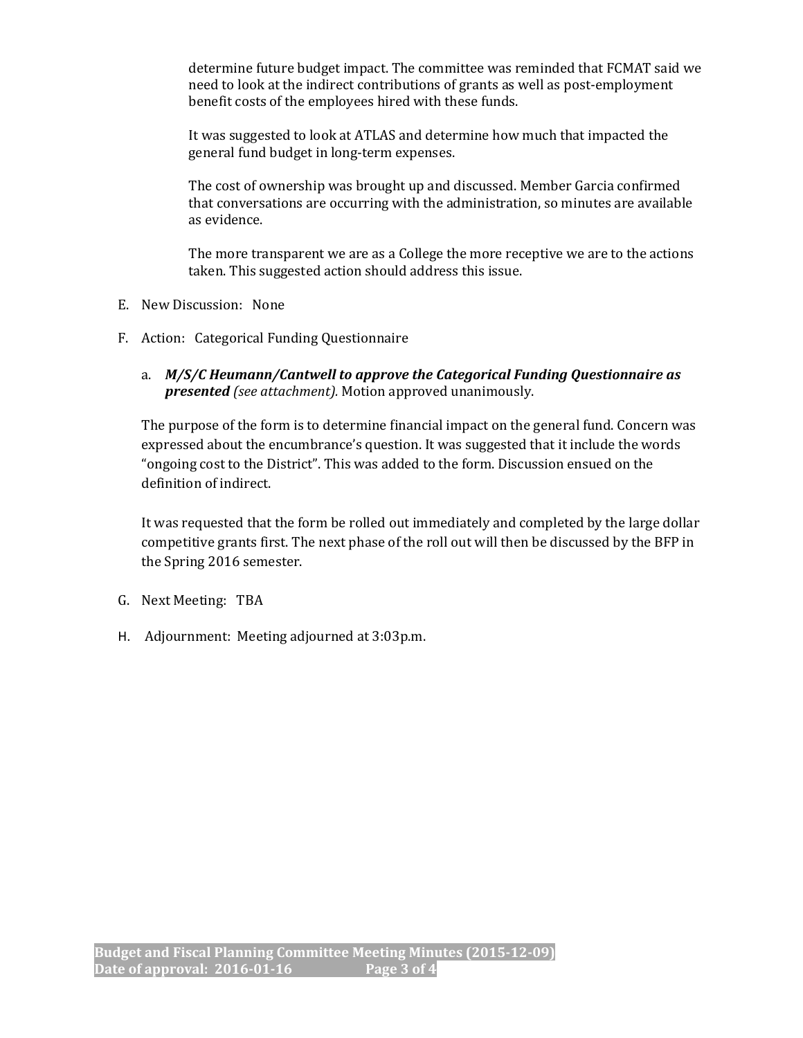determine future budget impact. The committee was reminded that FCMAT said we need to look at the indirect contributions of grants as well as post-employment benefit costs of the employees hired with these funds.

It was suggested to look at ATLAS and determine how much that impacted the general fund budget in long-term expenses.

The cost of ownership was brought up and discussed. Member Garcia confirmed that conversations are occurring with the administration, so minutes are available as evidence.

The more transparent we are as a College the more receptive we are to the actions taken. This suggested action should address this issue.

- E. New Discussion: None
- F. Action: Categorical Funding Questionnaire
	- a. M/S/C Heumann/Cantwell to approve the Categorical Funding Questionnaire as presented (see attachment). Motion approved unanimously.

The purpose of the form is to determine financial impact on the general fund. Concern was expressed about the encumbrance's question. It was suggested that it include the words "ongoing cost to the District". This was added to the form. Discussion ensued on the definition of indirect.

It was requested that the form be rolled out immediately and completed by the large dollar competitive grants first. The next phase of the roll out will then be discussed by the BFP in the Spring 2016 semester.

- G. Next Meeting: TBA
- H. Adjournment: Meeting adjourned at 3:03p.m.